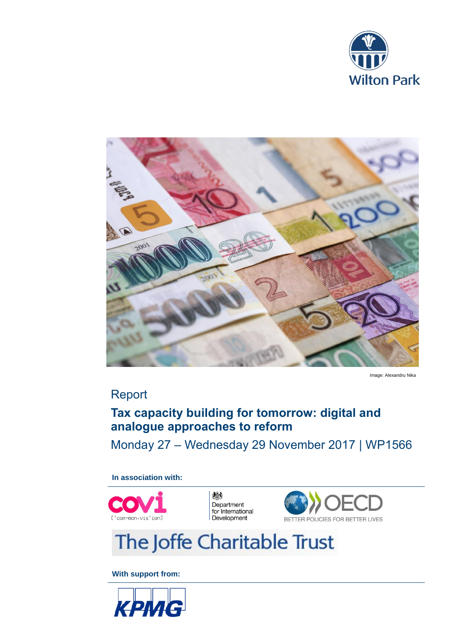



Image: Alexandru Nika

# Report

# **Tax capacity building for tomorrow: digital and analogue approaches to reform**

Monday 27 – Wednesday 29 November 2017 | WP1566

**In association with:**



機 Department for International<br>Development



# The Joffe Charitable Trust

**With support from:**

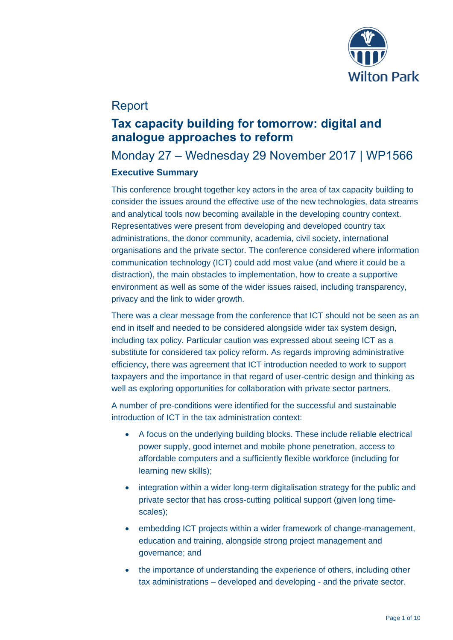

# Report

# **Tax capacity building for tomorrow: digital and analogue approaches to reform**

# Monday 27 – Wednesday 29 November 2017 | WP1566

# **Executive Summary**

This conference brought together key actors in the area of tax capacity building to consider the issues around the effective use of the new technologies, data streams and analytical tools now becoming available in the developing country context. Representatives were present from developing and developed country tax administrations, the donor community, academia, civil society, international organisations and the private sector. The conference considered where information communication technology (ICT) could add most value (and where it could be a distraction), the main obstacles to implementation, how to create a supportive environment as well as some of the wider issues raised, including transparency, privacy and the link to wider growth.

There was a clear message from the conference that ICT should not be seen as an end in itself and needed to be considered alongside wider tax system design, including tax policy. Particular caution was expressed about seeing ICT as a substitute for considered tax policy reform. As regards improving administrative efficiency, there was agreement that ICT introduction needed to work to support taxpayers and the importance in that regard of user-centric design and thinking as well as exploring opportunities for collaboration with private sector partners.

A number of pre-conditions were identified for the successful and sustainable introduction of ICT in the tax administration context:

- A focus on the underlying building blocks. These include reliable electrical power supply, good internet and mobile phone penetration, access to affordable computers and a sufficiently flexible workforce (including for learning new skills);
- integration within a wider long-term digitalisation strategy for the public and private sector that has cross-cutting political support (given long timescales);
- embedding ICT projects within a wider framework of change-management, education and training, alongside strong project management and governance; and
- the importance of understanding the experience of others, including other tax administrations – developed and developing - and the private sector.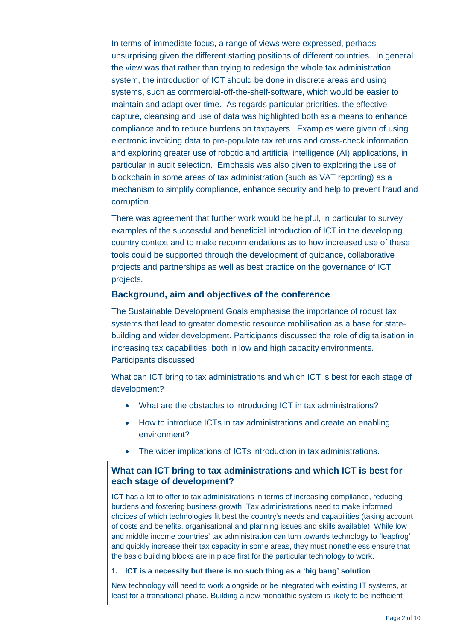In terms of immediate focus, a range of views were expressed, perhaps unsurprising given the different starting positions of different countries. In general the view was that rather than trying to redesign the whole tax administration system, the introduction of ICT should be done in discrete areas and using systems, such as commercial-off-the-shelf-software, which would be easier to maintain and adapt over time. As regards particular priorities, the effective capture, cleansing and use of data was highlighted both as a means to enhance compliance and to reduce burdens on taxpayers. Examples were given of using electronic invoicing data to pre-populate tax returns and cross-check information and exploring greater use of robotic and artificial intelligence (AI) applications, in particular in audit selection. Emphasis was also given to exploring the use of blockchain in some areas of tax administration (such as VAT reporting) as a mechanism to simplify compliance, enhance security and help to prevent fraud and corruption.

There was agreement that further work would be helpful, in particular to survey examples of the successful and beneficial introduction of ICT in the developing country context and to make recommendations as to how increased use of these tools could be supported through the development of guidance, collaborative projects and partnerships as well as best practice on the governance of ICT projects.

#### **Background, aim and objectives of the conference**

The Sustainable Development Goals emphasise the importance of robust tax systems that lead to greater domestic resource mobilisation as a base for statebuilding and wider development. Participants discussed the role of digitalisation in increasing tax capabilities, both in low and high capacity environments. Participants discussed:

What can ICT bring to tax administrations and which ICT is best for each stage of development?

- What are the obstacles to introducing ICT in tax administrations?
- How to introduce ICTs in tax administrations and create an enabling environment?
- The wider implications of ICTs introduction in tax administrations.

# **What can ICT bring to tax administrations and which ICT is best for each stage of development?**

ICT has a lot to offer to tax administrations in terms of increasing compliance, reducing burdens and fostering business growth. Tax administrations need to make informed choices of which technologies fit best the country's needs and capabilities (taking account of costs and benefits, organisational and planning issues and skills available). While low and middle income countries' tax administration can turn towards technology to 'leapfrog' and quickly increase their tax capacity in some areas, they must nonetheless ensure that the basic building blocks are in place first for the particular technology to work.

#### **1. ICT is a necessity but there is no such thing as a 'big bang' solution**

New technology will need to work alongside or be integrated with existing IT systems, at least for a transitional phase. Building a new monolithic system is likely to be inefficient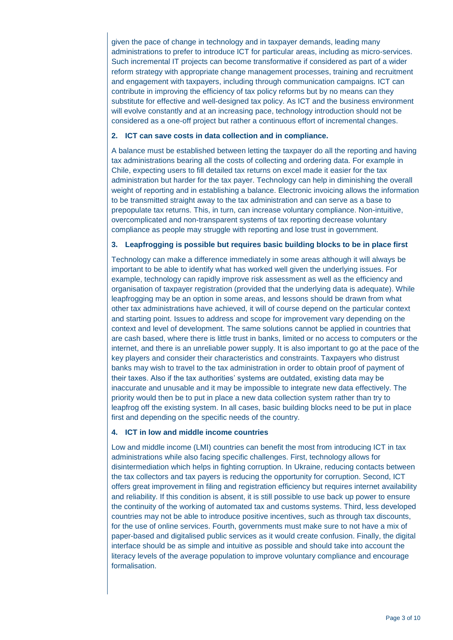given the pace of change in technology and in taxpayer demands, leading many administrations to prefer to introduce ICT for particular areas, including as micro-services. Such incremental IT projects can become transformative if considered as part of a wider reform strategy with appropriate change management processes, training and recruitment and engagement with taxpayers, including through communication campaigns. ICT can contribute in improving the efficiency of tax policy reforms but by no means can they substitute for effective and well-designed tax policy. As ICT and the business environment will evolve constantly and at an increasing pace, technology introduction should not be considered as a one-off project but rather a continuous effort of incremental changes.

#### **2. ICT can save costs in data collection and in compliance.**

A balance must be established between letting the taxpayer do all the reporting and having tax administrations bearing all the costs of collecting and ordering data. For example in Chile, expecting users to fill detailed tax returns on excel made it easier for the tax administration but harder for the tax payer. Technology can help in diminishing the overall weight of reporting and in establishing a balance. Electronic invoicing allows the information to be transmitted straight away to the tax administration and can serve as a base to prepopulate tax returns. This, in turn, can increase voluntary compliance. Non-intuitive, overcomplicated and non-transparent systems of tax reporting decrease voluntary compliance as people may struggle with reporting and lose trust in government.

#### **3. Leapfrogging is possible but requires basic building blocks to be in place first**

Technology can make a difference immediately in some areas although it will always be important to be able to identify what has worked well given the underlying issues. For example, technology can rapidly improve risk assessment as well as the efficiency and organisation of taxpayer registration (provided that the underlying data is adequate). While leapfrogging may be an option in some areas, and lessons should be drawn from what other tax administrations have achieved, it will of course depend on the particular context and starting point. Issues to address and scope for improvement vary depending on the context and level of development. The same solutions cannot be applied in countries that are cash based, where there is little trust in banks, limited or no access to computers or the internet, and there is an unreliable power supply. It is also important to go at the pace of the key players and consider their characteristics and constraints. Taxpayers who distrust banks may wish to travel to the tax administration in order to obtain proof of payment of their taxes. Also if the tax authorities' systems are outdated, existing data may be inaccurate and unusable and it may be impossible to integrate new data effectively. The priority would then be to put in place a new data collection system rather than try to leapfrog off the existing system. In all cases, basic building blocks need to be put in place first and depending on the specific needs of the country.

#### **4. ICT in low and middle income countries**

Low and middle income (LMI) countries can benefit the most from introducing ICT in tax administrations while also facing specific challenges. First, technology allows for disintermediation which helps in fighting corruption. In Ukraine, reducing contacts between the tax collectors and tax payers is reducing the opportunity for corruption. Second, ICT offers great improvement in filing and registration efficiency but requires internet availability and reliability. If this condition is absent, it is still possible to use back up power to ensure the continuity of the working of automated tax and customs systems. Third, less developed countries may not be able to introduce positive incentives, such as through tax discounts, for the use of online services. Fourth, governments must make sure to not have a mix of paper-based and digitalised public services as it would create confusion. Finally, the digital interface should be as simple and intuitive as possible and should take into account the literacy levels of the average population to improve voluntary compliance and encourage formalisation.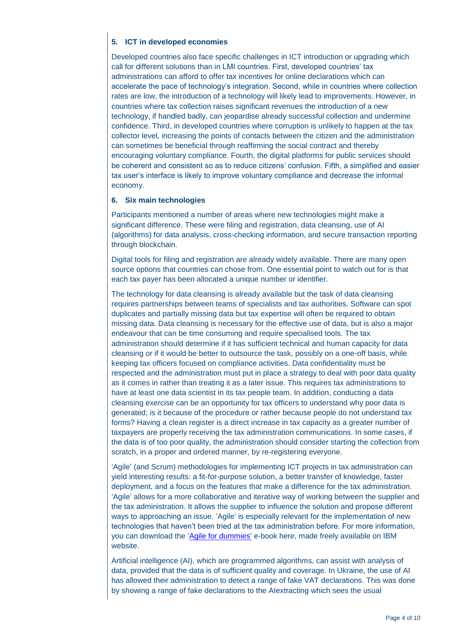## **5. ICT in developed economies**

Developed countries also face specific challenges in ICT introduction or upgrading which call for different solutions than in LMI countries. First, developed countries' tax administrations can afford to offer tax incentives for online declarations which can accelerate the pace of technology's integration. Second, while in countries where collection rates are low, the introduction of a technology will likely lead to improvements. However, in countries where tax collection raises significant revenues the introduction of a new technology, if handled badly, can jeopardise already successful collection and undermine confidence. Third, in developed countries where corruption is unlikely to happen at the tax collector level, increasing the points of contacts between the citizen and the administration can sometimes be beneficial through reaffirming the social contract and thereby encouraging voluntary compliance. Fourth, the digital platforms for public services should be coherent and consistent so as to reduce citizens' confusion. Fifth, a simplified and easier tax user's interface is likely to improve voluntary compliance and decrease the informal economy.

#### **6. Six main technologies**

Participants mentioned a number of areas where new technologies might make a significant difference. These were filing and registration, data cleansing, use of AI (algorithms) for data analysis, cross-checking information, and secure transaction reporting through blockchain.

Digital tools for filing and registration are already widely available. There are many open source options that countries can chose from. One essential point to watch out for is that each tax payer has been allocated a unique number or identifier.

The technology for data cleansing is already available but the task of data cleansing requires partnerships between teams of specialists and tax authorities. Software can spot duplicates and partially missing data but tax expertise will often be required to obtain missing data. Data cleansing is necessary for the effective use of data, but is also a major endeavour that can be time consuming and require specialised tools. The tax administration should determine if it has sufficient technical and human capacity for data cleansing or if it would be better to outsource the task, possibly on a one-off basis, while keeping tax officers focused on compliance activities. Data confidentiality must be respected and the administration must put in place a strategy to deal with poor data quality as it comes in rather than treating it as a later issue. This requires tax administrations to have at least one data scientist in its tax people team. In addition, conducting a data cleansing exercise can be an opportunity for tax officers to understand why poor data is generated; is it because of the procedure or rather because people do not understand tax forms? Having a clean register is a direct increase in tax capacity as a greater number of taxpayers are properly receiving the tax administration communications. In some cases, if the data is of too poor quality, the administration should consider starting the collection from scratch, in a proper and ordered manner, by re-registering everyone.

'Agile' (and Scrum) methodologies for implementing ICT projects in tax administration can yield interesting results: a fit-for-purpose solution, a better transfer of knowledge, faster deployment, and a focus on the features that make a difference for the tax administration. 'Agile' allows for a more collaborative and iterative way of working between the supplier and the tax administration. It allows the supplier to influence the solution and propose different ways to approaching an issue. 'Agile' is especially relevant for the implementation of new technologies that haven't been tried at the tax administration before. For more information, you can download the ['Agile for dummies'](https://www-01.ibm.com/marketing/iwm/dre/signup?source=urx-15723&S_PKG=ov3282&cm_mmc=Search_Google-_-Cloud_ITSM-_-WW_UKI-_-agile+software_Exact_ov3282&cm_mmca1=000020LH&cm_mmca2=10004589&cm_mmca7=9045997&cm_mmca8=kwd-26758406&cm_mmca9=e6d7c382-dac) e-book here, made freely available on IBM website.

Artificial intelligence (AI), which are programmed algorithms, can assist with analysis of data, provided that the data is of sufficient quality and coverage. In Ukraine, the use of AI has allowed their administration to detect a range of fake VAT declarations. This was done by showing a range of fake declarations to the AIextracting which sees the usual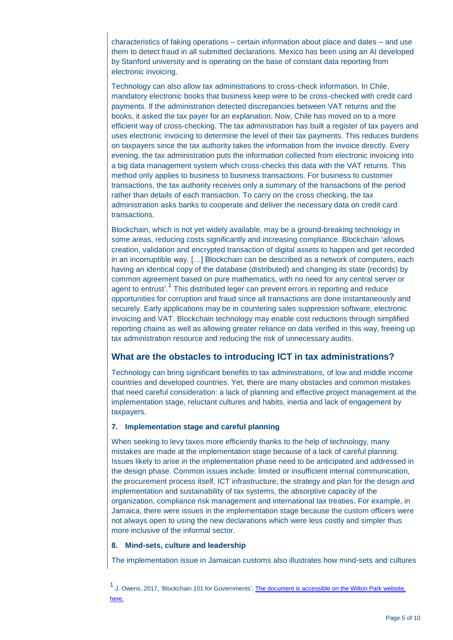characteristics of faking operations – certain information about place and dates – and use them to detect fraud in all submitted declarations. Mexico has been using an AI developed by Stanford university and is operating on the base of constant data reporting from electronic invoicing.

Technology can also allow tax administrations to cross-check information. In Chile, mandatory electronic books that business keep were to be cross-checked with credit card payments. If the administration detected discrepancies between VAT returns and the books, it asked the tax payer for an explanation. Now, Chile has moved on to a more efficient way of cross-checking. The tax administration has built a register of tax payers and uses electronic invoicing to determine the level of their tax payments. This reduces burdens on taxpayers since the tax authority takes the information from the invoice directly. Every evening, the tax administration puts the information collected from electronic invoicing into a big data management system which cross-checks this data with the VAT returns. This method only applies to business to business transactions. For business to customer transactions, the tax authority receives only a summary of the transactions of the period rather than details of each transaction. To carry on the cross checking, the tax administration asks banks to cooperate and deliver the necessary data on credit card transactions.

Blockchain, which is not yet widely available, may be a ground-breaking technology in some areas, reducing costs significantly and increasing compliance. Blockchain 'allows creation, validation and encrypted transaction of digital assets to happen and get recorded in an incorruptible way. […] Blockchain can be described as a network of computers, each having an identical copy of the database (distributed) and changing its state (records) by common agreement based on pure mathematics, with no need for any central server or agent to entrust'.<sup>1</sup> This distributed leger can prevent errors in reporting and reduce opportunities for corruption and fraud since all transactions are done instantaneously and securely. Early applications may be in countering sales suppression software, electronic invoicing and VAT. Blockchain technology may enable cost reductions through simplified reporting chains as well as allowing greater reliance on data verified in this way, freeing up tax administration resource and reducing the risk of unnecessary audits.

# **What are the obstacles to introducing ICT in tax administrations?**

Technology can bring significant benefits to tax administrations, of low and middle income countries and developed countries. Yet, there are many obstacles and common mistakes that need careful consideration: a lack of planning and effective project management at the implementation stage, reluctant cultures and habits, inertia and lack of engagement by taxpayers.

#### **7. Implementation stage and careful planning**

When seeking to levy taxes more efficiently thanks to the help of technology, many mistakes are made at the implementation stage because of a lack of careful planning. Issues likely to arise in the implementation phase need to be anticipated and addressed in the design phase. Common issues include: limited or insufficient internal communication, the procurement process itself, ICT infrastructure, the strategy and plan for the design and implementation and sustainability of tax systems, the absorptive capacity of the organization, compliance risk management and international tax treaties. For example, in Jamaica, there were issues in the implementation stage because the custom officers were not always open to using the new declarations which were less costly and simpler thus more inclusive of the informal sector.

#### **8. Mind-sets, culture and leadership**

The implementation issue in Jamaican customs also illustrates how mind-sets and cultures

1<br>J. Owens, 2017, 'Blockchain 101 for Governments'. The document is accessible on the Wilton Park website, [here.](https://www.wiltonpark.org.uk/wp-content/uploads/WP1566-Blockchain-101-for-Governments.pdf)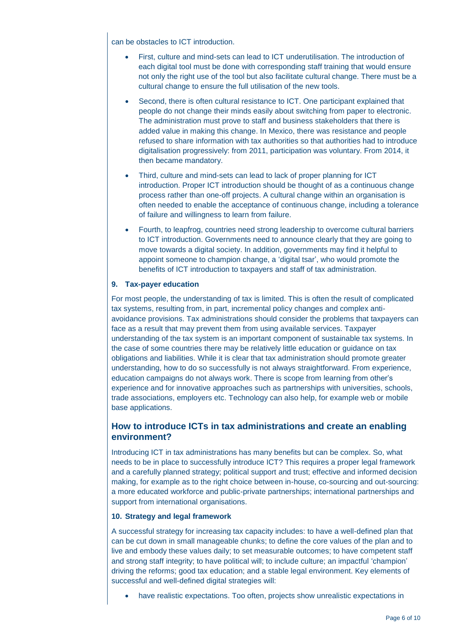can be obstacles to ICT introduction.

- First, culture and mind-sets can lead to ICT underutilisation. The introduction of each digital tool must be done with corresponding staff training that would ensure not only the right use of the tool but also facilitate cultural change. There must be a cultural change to ensure the full utilisation of the new tools.
- Second, there is often cultural resistance to ICT. One participant explained that people do not change their minds easily about switching from paper to electronic. The administration must prove to staff and business stakeholders that there is added value in making this change. In Mexico, there was resistance and people refused to share information with tax authorities so that authorities had to introduce digitalisation progressively: from 2011, participation was voluntary. From 2014, it then became mandatory.
- Third, culture and mind-sets can lead to lack of proper planning for ICT introduction. Proper ICT introduction should be thought of as a continuous change process rather than one-off projects. A cultural change within an organisation is often needed to enable the acceptance of continuous change, including a tolerance of failure and willingness to learn from failure.
- Fourth, to leapfrog, countries need strong leadership to overcome cultural barriers to ICT introduction. Governments need to announce clearly that they are going to move towards a digital society. In addition, governments may find it helpful to appoint someone to champion change, a 'digital tsar', who would promote the benefits of ICT introduction to taxpayers and staff of tax administration.

#### **9. Tax-payer education**

For most people, the understanding of tax is limited. This is often the result of complicated tax systems, resulting from, in part, incremental policy changes and complex antiavoidance provisions. Tax administrations should consider the problems that taxpayers can face as a result that may prevent them from using available services. Taxpayer understanding of the tax system is an important component of sustainable tax systems. In the case of some countries there may be relatively little education or guidance on tax obligations and liabilities. While it is clear that tax administration should promote greater understanding, how to do so successfully is not always straightforward. From experience, education campaigns do not always work. There is scope from learning from other's experience and for innovative approaches such as partnerships with universities, schools, trade associations, employers etc. Technology can also help, for example web or mobile base applications.

# **How to introduce ICTs in tax administrations and create an enabling environment?**

Introducing ICT in tax administrations has many benefits but can be complex. So, what needs to be in place to successfully introduce ICT? This requires a proper legal framework and a carefully planned strategy; political support and trust; effective and informed decision making, for example as to the right choice between in-house, co-sourcing and out-sourcing: a more educated workforce and public-private partnerships; international partnerships and support from international organisations.

#### **10. Strategy and legal framework**

A successful strategy for increasing tax capacity includes: to have a well-defined plan that can be cut down in small manageable chunks; to define the core values of the plan and to live and embody these values daily; to set measurable outcomes; to have competent staff and strong staff integrity; to have political will; to include culture; an impactful 'champion' driving the reforms; good tax education; and a stable legal environment. Key elements of successful and well-defined digital strategies will:

have realistic expectations. Too often, projects show unrealistic expectations in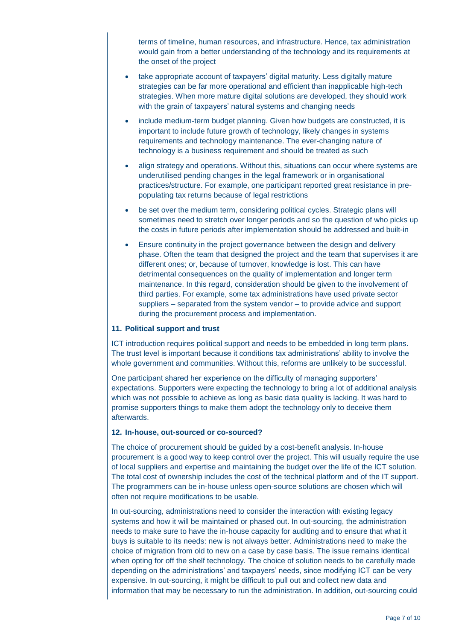terms of timeline, human resources, and infrastructure. Hence, tax administration would gain from a better understanding of the technology and its requirements at the onset of the project

- take appropriate account of taxpayers' digital maturity. Less digitally mature strategies can be far more operational and efficient than inapplicable high-tech strategies. When more mature digital solutions are developed, they should work with the grain of taxpayers' natural systems and changing needs
- include medium-term budget planning. Given how budgets are constructed, it is important to include future growth of technology, likely changes in systems requirements and technology maintenance. The ever-changing nature of technology is a business requirement and should be treated as such
- align strategy and operations. Without this, situations can occur where systems are underutilised pending changes in the legal framework or in organisational practices/structure. For example, one participant reported great resistance in prepopulating tax returns because of legal restrictions
- be set over the medium term, considering political cycles. Strategic plans will sometimes need to stretch over longer periods and so the question of who picks up the costs in future periods after implementation should be addressed and built-in
- Ensure continuity in the project governance between the design and delivery phase. Often the team that designed the project and the team that supervises it are different ones; or, because of turnover, knowledge is lost. This can have detrimental consequences on the quality of implementation and longer term maintenance. In this regard, consideration should be given to the involvement of third parties. For example, some tax administrations have used private sector suppliers – separated from the system vendor – to provide advice and support during the procurement process and implementation.

#### **11. Political support and trust**

ICT introduction requires political support and needs to be embedded in long term plans. The trust level is important because it conditions tax administrations' ability to involve the whole government and communities. Without this, reforms are unlikely to be successful.

One participant shared her experience on the difficulty of managing supporters' expectations. Supporters were expecting the technology to bring a lot of additional analysis which was not possible to achieve as long as basic data quality is lacking. It was hard to promise supporters things to make them adopt the technology only to deceive them afterwards.

#### **12. In-house, out-sourced or co-sourced?**

The choice of procurement should be guided by a cost-benefit analysis. In-house procurement is a good way to keep control over the project. This will usually require the use of local suppliers and expertise and maintaining the budget over the life of the ICT solution. The total cost of ownership includes the cost of the technical platform and of the IT support. The programmers can be in-house unless open-source solutions are chosen which will often not require modifications to be usable.

In out-sourcing, administrations need to consider the interaction with existing legacy systems and how it will be maintained or phased out. In out-sourcing, the administration needs to make sure to have the in-house capacity for auditing and to ensure that what it buys is suitable to its needs: new is not always better. Administrations need to make the choice of migration from old to new on a case by case basis. The issue remains identical when opting for off the shelf technology. The choice of solution needs to be carefully made depending on the administrations' and taxpayers' needs, since modifying ICT can be very expensive. In out-sourcing, it might be difficult to pull out and collect new data and information that may be necessary to run the administration. In addition, out-sourcing could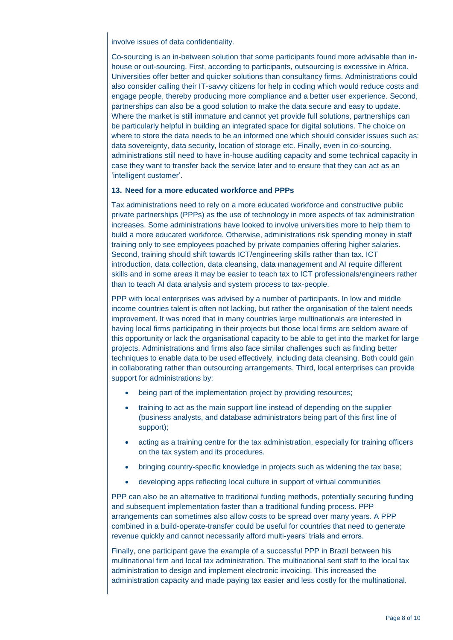involve issues of data confidentiality.

Co-sourcing is an in-between solution that some participants found more advisable than inhouse or out-sourcing. First, according to participants, outsourcing is excessive in Africa. Universities offer better and quicker solutions than consultancy firms. Administrations could also consider calling their IT-savvy citizens for help in coding which would reduce costs and engage people, thereby producing more compliance and a better user experience. Second, partnerships can also be a good solution to make the data secure and easy to update. Where the market is still immature and cannot yet provide full solutions, partnerships can be particularly helpful in building an integrated space for digital solutions. The choice on where to store the data needs to be an informed one which should consider issues such as: data sovereignty, data security, location of storage etc. Finally, even in co-sourcing, administrations still need to have in-house auditing capacity and some technical capacity in case they want to transfer back the service later and to ensure that they can act as an 'intelligent customer'.

#### **13. Need for a more educated workforce and PPPs**

Tax administrations need to rely on a more educated workforce and constructive public private partnerships (PPPs) as the use of technology in more aspects of tax administration increases. Some administrations have looked to involve universities more to help them to build a more educated workforce. Otherwise, administrations risk spending money in staff training only to see employees poached by private companies offering higher salaries. Second, training should shift towards ICT/engineering skills rather than tax. ICT introduction, data collection, data cleansing, data management and AI require different skills and in some areas it may be easier to teach tax to ICT professionals/engineers rather than to teach AI data analysis and system process to tax-people.

PPP with local enterprises was advised by a number of participants. In low and middle income countries talent is often not lacking, but rather the organisation of the talent needs improvement. It was noted that in many countries large multinationals are interested in having local firms participating in their projects but those local firms are seldom aware of this opportunity or lack the organisational capacity to be able to get into the market for large projects. Administrations and firms also face similar challenges such as finding better techniques to enable data to be used effectively, including data cleansing. Both could gain in collaborating rather than outsourcing arrangements. Third, local enterprises can provide support for administrations by:

- being part of the implementation project by providing resources;
- training to act as the main support line instead of depending on the supplier (business analysts, and database administrators being part of this first line of support);
- acting as a training centre for the tax administration, especially for training officers on the tax system and its procedures.
- bringing country-specific knowledge in projects such as widening the tax base;
- developing apps reflecting local culture in support of virtual communities

PPP can also be an alternative to traditional funding methods, potentially securing funding and subsequent implementation faster than a traditional funding process. PPP arrangements can sometimes also allow costs to be spread over many years. A PPP combined in a build-operate-transfer could be useful for countries that need to generate revenue quickly and cannot necessarily afford multi-years' trials and errors.

Finally, one participant gave the example of a successful PPP in Brazil between his multinational firm and local tax administration. The multinational sent staff to the local tax administration to design and implement electronic invoicing. This increased the administration capacity and made paying tax easier and less costly for the multinational.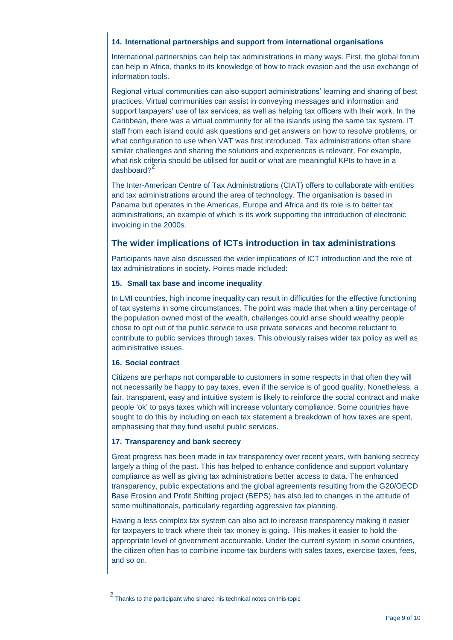#### **14. International partnerships and support from international organisations**

International partnerships can help tax administrations in many ways. First, the global forum can help in Africa, thanks to its knowledge of how to track evasion and the use exchange of information tools.

Regional virtual communities can also support administrations' learning and sharing of best practices. Virtual communities can assist in conveying messages and information and support taxpayers' use of tax services, as well as helping tax officers with their work. In the Caribbean, there was a virtual community for all the islands using the same tax system. IT staff from each island could ask questions and get answers on how to resolve problems, or what configuration to use when VAT was first introduced. Tax administrations often share similar challenges and sharing the solutions and experiences is relevant. For example, what risk criteria should be utilised for audit or what are meaningful KPIs to have in a dashboard?<sup>2</sup>

The Inter-American Centre of Tax Administrations (CIAT) offers to collaborate with entities and tax administrations around the area of technology. The organisation is based in Panama but operates in the Americas, Europe and Africa and its role is to better tax administrations, an example of which is its work supporting the introduction of electronic invoicing in the 2000s.

# **The wider implications of ICTs introduction in tax administrations**

Participants have also discussed the wider implications of ICT introduction and the role of tax administrations in society. Points made included:

#### **15. Small tax base and income inequality**

In LMI countries, high income inequality can result in difficulties for the effective functioning of tax systems in some circumstances. The point was made that when a tiny percentage of the population owned most of the wealth, challenges could arise should wealthy people chose to opt out of the public service to use private services and become reluctant to contribute to public services through taxes. This obviously raises wider tax policy as well as administrative issues.

## **16. Social contract**

Citizens are perhaps not comparable to customers in some respects in that often they will not necessarily be happy to pay taxes, even if the service is of good quality. Nonetheless, a fair, transparent, easy and intuitive system is likely to reinforce the social contract and make people 'ok' to pays taxes which will increase voluntary compliance. Some countries have sought to do this by including on each tax statement a breakdown of how taxes are spent, emphasising that they fund useful public services.

## **17. Transparency and bank secrecy**

Great progress has been made in tax transparency over recent years, with banking secrecy largely a thing of the past. This has helped to enhance confidence and support voluntary compliance as well as giving tax administrations better access to data. The enhanced transparency, public expectations and the global agreements resulting from the G20/OECD Base Erosion and Profit Shifting project (BEPS) has also led to changes in the attitude of some multinationals, particularly regarding aggressive tax planning.

Having a less complex tax system can also act to increase transparency making it easier for taxpayers to track where their tax money is going. This makes it easier to hold the appropriate level of government accountable. Under the current system in some countries, the citizen often has to combine income tax burdens with sales taxes, exercise taxes, fees, and so on.

<sup>2</sup> Thanks to the participant who shared his technical notes on this topic